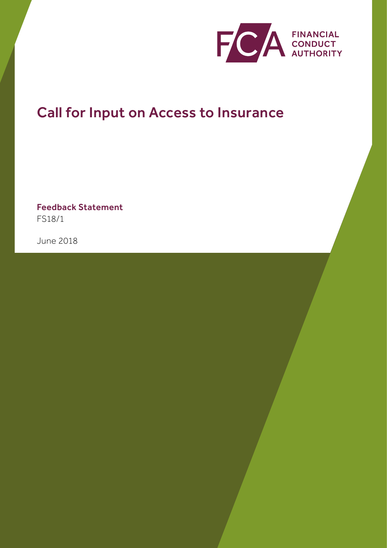

# Call for Input on Access to Insurance

Feedback Statement FS18/1

June 2018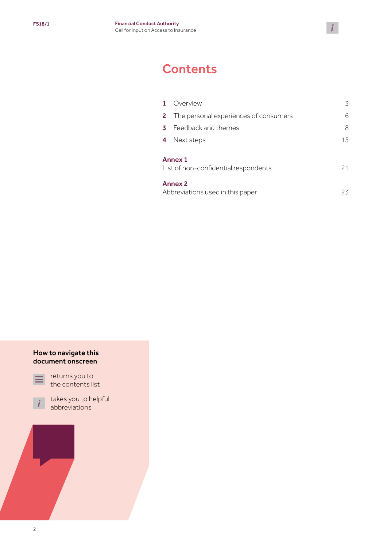## **Contents**

| Overview                                               | 3  |
|--------------------------------------------------------|----|
| The personal experiences of consumers                  | 6  |
| Feedback and themes                                    | 8  |
| Next steps                                             | 15 |
| <b>Annex 1</b><br>List of non-confidential respondents | 21 |
| <b>Annex 2</b><br>Abbreviations used in this paper     | 23 |
|                                                        |    |

 $\mathbf{i}$ 

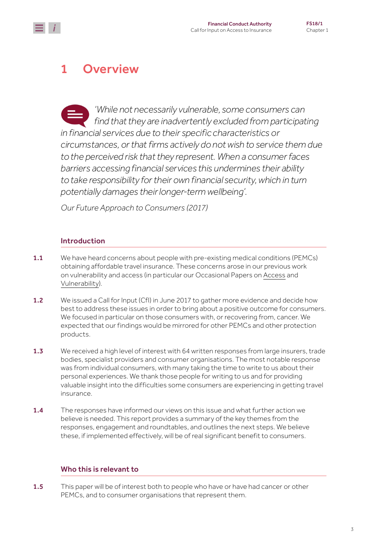## <span id="page-2-0"></span>1 Overview

*'While not necessarily vulnerable, some consumers can find that they are inadvertently excluded from participating in financial services due to their specific characteristics or circumstances, or that firms actively do not wish to service them due to the perceived risk that they represent. When a consumer faces barriers accessing financial services this undermines their ability to take responsibility for their own financial security, which in turn potentially damages their longer-term wellbeing'.* 

*Our Future Approach to Consumers (2017)*

### Introduction

- **1.1** We have heard concerns about people with pre-existing medical conditions (PEMCs) obtaining affordable travel insurance. These concerns arose in our previous work on vulnerability and access (in particular our Occasional Papers on [Access](https://www.fca.org.uk/publications/occasional-papers/occasional-paper-no-17-access-financial-services-uk) and [Vulnerability\)](https://www.fca.org.uk/publications/occasional-papers/occasional-paper-no-8-consumer-vulnerability).
- 1.2 We issued a Call for Input (CfI) in June 2017 to gather more evidence and decide how best to address these issues in order to bring about a positive outcome for consumers. We focused in particular on those consumers with, or recovering from, cancer. We expected that our findings would be mirrored for other PEMCs and other protection products.
- 1.3 We received a high level of interest with 64 written responses from large insurers, trade bodies, specialist providers and consumer organisations. The most notable response was from individual consumers, with many taking the time to write to us about their personal experiences. We thank those people for writing to us and for providing valuable insight into the difficulties some consumers are experiencing in getting travel insurance.
- **1.4** The responses have informed our views on this issue and what further action we believe is needed. This report provides a summary of the key themes from the responses, engagement and roundtables, and outlines the next steps. We believe these, if implemented effectively, will be of real significant benefit to consumers.

### Who this is relevant to

1.5 This paper will be of interest both to people who have or have had cancer or other PEMCs, and to consumer organisations that represent them.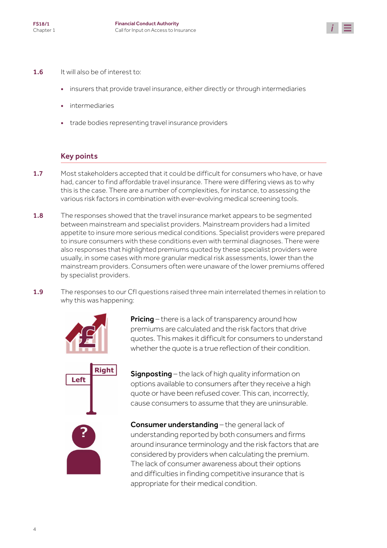

- 1.6 It will also be of interest to:
	- insurers that provide travel insurance, either directly or through intermediaries
	- **intermediaries**
	- trade bodies representing travel insurance providers

#### Key points

- 1.7 Most stakeholders accepted that it could be difficult for consumers who have, or have had, cancer to find affordable travel insurance. There were differing views as to why this is the case. There are a number of complexities, for instance, to assessing the various risk factors in combination with ever-evolving medical screening tools.
- 1.8 The responses showed that the travel insurance market appears to be segmented between mainstream and specialist providers. Mainstream providers had a limited appetite to insure more serious medical conditions. Specialist providers were prepared to insure consumers with these conditions even with terminal diagnoses. There were also responses that highlighted premiums quoted by these specialist providers were usually, in some cases with more granular medical risk assessments, lower than the mainstream providers. Consumers often were unaware of the lower premiums offered by specialist providers.
- 1.9 The responses to our CfI questions raised three main interrelated themes in relation to why this was happening:



**Pricing** – there is a lack of transparency around how premiums are calculated and the risk factors that drive quotes. This makes it difficult for consumers to understand whether the quote is a true reflection of their condition.

Signposting – the lack of high quality information on options available to consumers after they receive a high quote or have been refused cover. This can, incorrectly, cause consumers to assume that they are uninsurable.

Consumer understanding – the general lack of understanding reported by both consumers and firms around insurance terminology and the risk factors that are considered by providers when calculating the premium. The lack of consumer awareness about their options and difficulties in finding competitive insurance that is appropriate for their medical condition.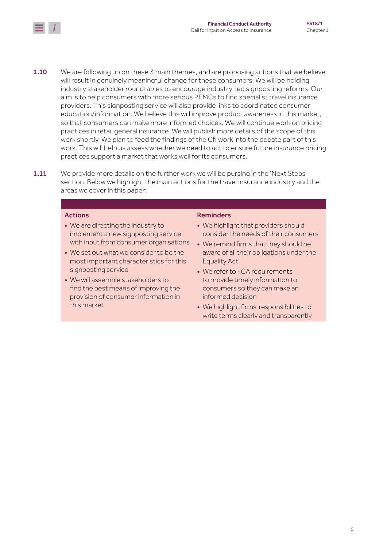

- **1.10** We are following up on these 3 main themes, and are proposing actions that we believe will result in genuinely meaningful change for these consumers. We will be holding industry stakeholder roundtables to encourage industry-led signposting reforms. Our aim is to help consumers with more serious PEMCs to find specialist travel insurance providers. This signposting service will also provide links to coordinated consumer education/information. We believe this will improve product awareness in this market, so that consumers can make more informed choices. We will continue work on pricing practices in retail general insurance. We will publish more details of the scope of this work shortly. We plan to feed the findings of the CfI work into the debate part of this work. This will help us assess whether we need to act to ensure future insurance pricing practices support a market that works well for its consumers.
- **1.11** We provide more details on the further work we will be pursing in the 'Next Steps' section. Below we highlight the main actions for the travel insurance industry and the areas we cover in this paper:

#### Actions

- We are directing the industry to implement a new signposting service with input from consumer organisations
- We set out what we consider to be the most important characteristics for this signposting service
- We will assemble stakeholders to find the best means of improving the provision of consumer information in this market

#### Reminders

- We highlight that providers should consider the needs of their consumers
- We remind firms that they should be aware of all their obligations under the Equality Act
- We refer to FCA requirements to provide timely information to consumers so they can make an informed decision
- We highlight firms' responsibilities to write terms clearly and transparently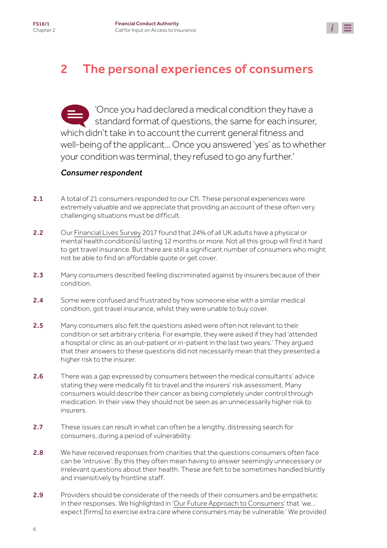

## <span id="page-5-0"></span>2 The personal experiences of consumers

'Once you had declared a medical condition they have a standard format of questions, the same for each insurer, which didn't take in to account the current general fitness and well-being of the applicant... Once you answered 'yes' as to whether your condition was terminal, they refused to go any further.'

### *Consumer respondent*

- 2.1 A total of 21 consumers responded to our CfI. These personal experiences were extremely valuable and we appreciate that providing an account of these often very challenging situations must be difficult.
- 2.2 Our [Financial Lives Survey](https://www.fca.org.uk/publication/research/financial-lives-survey-2017.pdf) 2017 found that 24% of all UK adults have a physical or mental health condition(s) lasting 12 months or more. Not all this group will find it hard to get travel insurance. But there are still a significant number of consumers who might not be able to find an affordable quote or get cover.
- 2.3 Many consumers described feeling discriminated against by insurers because of their condition.
- 2.4 Some were confused and frustrated by how someone else with a similar medical condition, got travel insurance, whilst they were unable to buy cover.
- 2.5 Many consumers also felt the questions asked were often not relevant to their condition or set arbitrary criteria. For example, they were asked if they had 'attended a hospital or clinic as an out-patient or in-patient in the last two years.' They argued that their answers to these questions did not necessarily mean that they presented a higher risk to the insurer.
- 2.6 There was a gap expressed by consumers between the medical consultants' advice stating they were medically fit to travel and the insurers' risk assessment. Many consumers would describe their cancer as being completely under control through medication. In their view they should not be seen as an unnecessarily higher risk to insurers.
- 2.7 These issues can result in what can often be a lengthy, distressing search for consumers, during a period of vulnerability.
- 2.8 We have received responses from charities that the questions consumers often face can be 'intrusive'. By this they often mean having to answer seemingly unnecessary or irrelevant questions about their health. These are felt to be sometimes handled bluntly and insensitively by frontline staff.
- 2.9 Providers should be considerate of the needs of their consumers and be empathetic in their responses. We highlighted in ['Our Future Approach to Consumers'](https://www.fca.org.uk/publication/corporate/our-future-approach-consumers.pdf#page=8) that 'we… expect [firms] to exercise extra care where consumers may be vulnerable.' We provided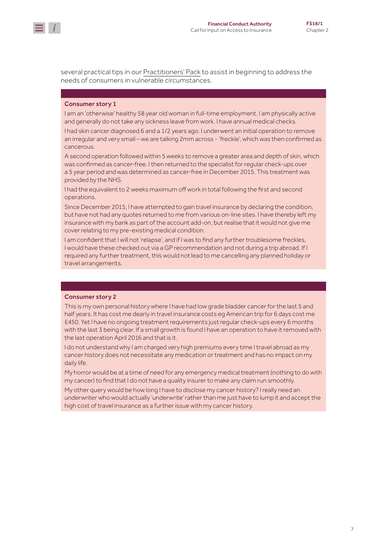

several practical tips in our [Practitioners' Pack](https://www.fca.org.uk/publication/occasional-papers/occasional-paper-8-practitioners-pack.pdf) to assist in beginning to address the needs of consumers in vulnerable circumstances.

#### Consumer story 1

I am an 'otherwise' healthy 58 year old woman in full-time employment. I am physically active and generally do not take any sickness leave from work. I have annual medical checks.

I had skin cancer diagnosed 6 and a 1/2 years ago. I underwent an initial operation to remove an irregular and very small – we are talking 2mm across - 'freckle', which was then confirmed as cancerous.

A second operation followed within 5 weeks to remove a greater area and depth of skin, which was confirmed as cancer-free. I then returned to the specialist for regular check-ups over a 5 year period and was determined as cancer-free in December 2015. This treatment was provided by the NHS.

I had the equivalent to 2 weeks maximum off work in total following the first and second operations.

Since December 2015, I have attempted to gain travel insurance by declaring the condition, but have not had any quotes returned to me from various on-line sites. I have thereby left my insurance with my bank as part of the account add-on, but realise that it would not give me cover relating to my pre-existing medical condition.

I am confident that I will not 'relapse', and if I was to find any further troublesome freckles, I would have these checked out via a GP recommendation and not during a trip abroad. If I required any further treatment, this would not lead to me cancelling any planned holiday or travel arrangements.

#### Consumer story 2

This is my own personal history where I have had low grade bladder cancer for the last 5 and half years. It has cost me dearly in travel insurance costs eg American trip for 6 days cost me £450. Yet I have no ongoing treatment requirements just regular check-ups every 6 months with the last 3 being clear. If a small growth is found I have an operation to have it removed with the last operation April 2016 and that is it.

I do not understand why I am charged very high premiums every time I travel abroad as my cancer history does not necessitate any medication or treatment and has no impact on my daily life.

My horror would be at a time of need for any emergency medical treatment (nothing to do with my cancer) to find that I do not have a quality insurer to make any claim run smoothly.

My other query would be how long I have to disclose my cancer history? I really need an underwriter who would actually 'underwrite' rather than me just have to lump it and accept the high cost of travel insurance as a further issue with my cancer history.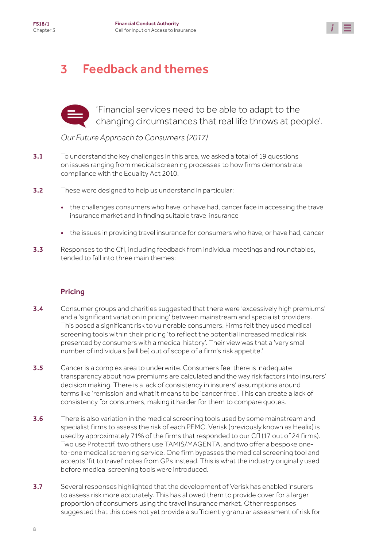

## <span id="page-7-0"></span>3 Feedback and themes



'Financial services need to be able to adapt to the changing circumstances that real life throws at people'.

### *Our Future Approach to Consumers (2017)*

- 3.1 To understand the key challenges in this area, we asked a total of 19 questions on issues ranging from medical screening processes to how firms demonstrate compliance with the Equality Act 2010.
- **3.2** These were designed to help us understand in particular:
	- the challenges consumers who have, or have had, cancer face in accessing the travel insurance market and in finding suitable travel insurance
	- the issues in providing travel insurance for consumers who have, or have had, cancer
- 3.3 Responses to the CfI, including feedback from individual meetings and roundtables, tended to fall into three main themes:

### Pricing

- 3.4 Consumer groups and charities suggested that there were 'excessively high premiums' and a 'significant variation in pricing' between mainstream and specialist providers. This posed a significant risk to vulnerable consumers. Firms felt they used medical screening tools within their pricing 'to reflect the potential increased medical risk presented by consumers with a medical history'. Their view was that a 'very small number of individuals [will be] out of scope of a firm's risk appetite.'
- 3.5 Cancer is a complex area to underwrite. Consumers feel there is inadequate transparency about how premiums are calculated and the way risk factors into insurers' decision making. There is a lack of consistency in insurers' assumptions around terms like 'remission' and what it means to be 'cancer free'. This can create a lack of consistency for consumers, making it harder for them to compare quotes.
- **3.6** There is also variation in the medical screening tools used by some mainstream and specialist firms to assess the risk of each PEMC. Verisk (previously known as Healix) is used by approximately 71% of the firms that responded to our CfI (17 out of 24 firms). Two use Protectif, two others use TAMIS/MAGENTA, and two offer a bespoke oneto-one medical screening service. One firm bypasses the medical screening tool and accepts 'fit to travel' notes from GPs instead. This is what the industry originally used before medical screening tools were introduced.
- 3.7 Several responses highlighted that the development of Verisk has enabled insurers to assess risk more accurately. This has allowed them to provide cover for a larger proportion of consumers using the travel insurance market. Other responses suggested that this does not yet provide a sufficiently granular assessment of risk for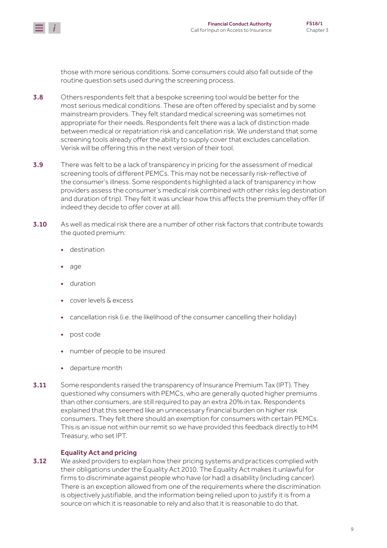

those with more serious conditions. Some consumers could also fall outside of the routine question sets used during the screening process.

- 3.8 Others respondents felt that a bespoke screening tool would be better for the most serious medical conditions. These are often offered by specialist and by some mainstream providers. They felt standard medical screening was sometimes not appropriate for their needs. Respondents felt there was a lack of distinction made between medical or repatriation risk and cancellation risk. We understand that some screening tools already offer the ability to supply cover that excludes cancellation. Verisk will be offering this in the next version of their tool.
- 3.9 There was felt to be a lack of transparency in pricing for the assessment of medical screening tools of different PEMCs. This may not be necessarily risk-reflective of the consumer's illness. Some respondents highlighted a lack of transparency in how providers assess the consumer's medical risk combined with other risks (eg destination and duration of trip). They felt it was unclear how this affects the premium they offer (if indeed they decide to offer cover at all).
- 3.10 As well as medical risk there are a number of other risk factors that contribute towards the quoted premium:
	- destination
	- age
	- duration
	- cover levels & excess
	- cancellation risk (i.e. the likelihood of the consumer cancelling their holiday)
	- post code
	- number of people to be insured
	- departure month
- **3.11** Some respondents raised the transparency of Insurance Premium Tax (IPT). They questioned why consumers with PEMCs, who are generally quoted higher premiums than other consumers, are still required to pay an extra 20% in tax. Respondents explained that this seemed like an unnecessary financial burden on higher risk consumers. They felt there should an exemption for consumers with certain PEMCs. This is an issue not within our remit so we have provided this feedback directly to HM Treasury, who set IPT.

#### Equality Act and pricing

3.12 We asked providers to explain how their pricing systems and practices complied with their obligations under the Equality Act 2010. The Equality Act makes it unlawful for firms to discriminate against people who have (or had) a disability (including cancer). There is an exception allowed from one of the requirements where the discrimination is objectively justifiable, and the information being relied upon to justify it is from a source on which it is reasonable to rely and also that it is reasonable to do that.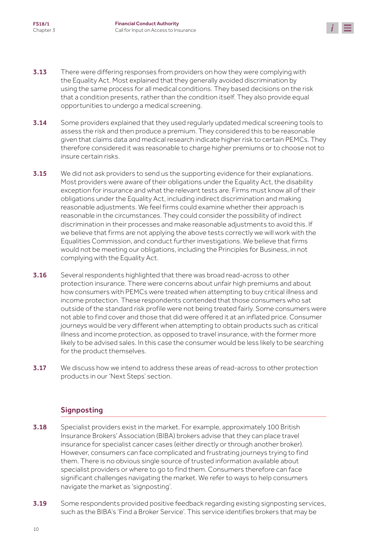

- **3.13** There were differing responses from providers on how they were complying with the Equality Act. Most explained that they generally avoided discrimination by using the same process for all medical conditions. They based decisions on the risk that a condition presents, rather than the condition itself. They also provide equal opportunities to undergo a medical screening.
- **3.14** Some providers explained that they used regularly updated medical screening tools to assess the risk and then produce a premium. They considered this to be reasonable given that claims data and medical research indicate higher risk to certain PEMCs. They therefore considered it was reasonable to charge higher premiums or to choose not to insure certain risks.
- **3.15** We did not ask providers to send us the supporting evidence for their explanations. Most providers were aware of their obligations under the Equality Act, the disability exception for insurance and what the relevant tests are. Firms must know all of their obligations under the Equality Act, including indirect discrimination and making reasonable adjustments. We feel firms could examine whether their approach is reasonable in the circumstances. They could consider the possibility of indirect discrimination in their processes and make reasonable adjustments to avoid this. If we believe that firms are not applying the above tests correctly we will work with the Equalities Commission, and conduct further investigations. We believe that firms would not be meeting our obligations, including the Principles for Business, in not complying with the Equality Act.
- **3.16** Several respondents highlighted that there was broad read-across to other protection insurance. There were concerns about unfair high premiums and about how consumers with PEMCs were treated when attempting to buy critical illness and income protection. These respondents contended that those consumers who sat outside of the standard risk profile were not being treated fairly. Some consumers were not able to find cover and those that did were offered it at an inflated price. Consumer journeys would be very different when attempting to obtain products such as critical illness and income protection, as opposed to travel insurance, with the former more likely to be advised sales. In this case the consumer would be less likely to be searching for the product themselves.
- **3.17** We discuss how we intend to address these areas of read-across to other protection products in our 'Next Steps' section.

### **Signposting**

- **3.18** Specialist providers exist in the market. For example, approximately 100 British Insurance Brokers' Association (BIBA) brokers advise that they can place travel insurance for specialist cancer cases (either directly or through another broker). However, consumers can face complicated and frustrating journeys trying to find them. There is no obvious single source of trusted information available about specialist providers or where to go to find them. Consumers therefore can face significant challenges navigating the market. We refer to ways to help consumers navigate the market as 'signposting'.
- 3.19 Some respondents provided positive feedback regarding existing signposting services, such as the BIBA's 'Find a Broker Service'. This service identifies brokers that may be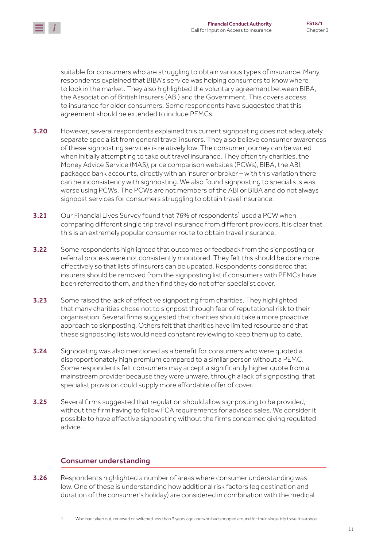

suitable for consumers who are struggling to obtain various types of insurance. Many respondents explained that BIBA's service was helping consumers to know where to look in the market. They also highlighted the voluntary agreement between BIBA, the Association of British Insurers (ABI) and the Government. This covers access to insurance for older consumers. Some respondents have suggested that this agreement should be extended to include PEMCs.

- **3.20** However, several respondents explained this current signposting does not adequately separate specialist from general travel insurers. They also believe consumer awareness of these signposting services is relatively low. The consumer journey can be varied when initially attempting to take out travel insurance. They often try charities, the Money Advice Service (MAS), price comparison websites (PCWs), BIBA, the ABI, packaged bank accounts, directly with an insurer or broker – with this variation there can be inconsistency with signposting. We also found signposting to specialists was worse using PCWs. The PCWs are not members of the ABI or BIBA and do not always signpost services for consumers struggling to obtain travel insurance.
- **3.21** Our Financial Lives Survey found that 76% of respondents<sup>1</sup> used a PCW when comparing different single trip travel insurance from different providers. It is clear that this is an extremely popular consumer route to obtain travel insurance.
- 3.22 Some respondents highlighted that outcomes or feedback from the signposting or referral process were not consistently monitored. They felt this should be done more effectively so that lists of insurers can be updated. Respondents considered that insurers should be removed from the signposting list if consumers with PEMCs have been referred to them, and then find they do not offer specialist cover.
- 3.23 Some raised the lack of effective signposting from charities. They highlighted that many charities chose not to signpost through fear of reputational risk to their organisation. Several firms suggested that charities should take a more proactive approach to signposting. Others felt that charities have limited resource and that these signposting lists would need constant reviewing to keep them up to date.
- **3.24** Signposting was also mentioned as a benefit for consumers who were quoted a disproportionately high premium compared to a similar person without a PEMC. Some respondents felt consumers may accept a significantly higher quote from a mainstream provider because they were unware, through a lack of signposting, that specialist provision could supply more affordable offer of cover.
- 3.25 Several firms suggested that regulation should allow signposting to be provided, without the firm having to follow FCA requirements for advised sales. We consider it possible to have effective signposting without the firms concerned giving regulated advice.

### Consumer understanding

**3.26** Respondents highlighted a number of areas where consumer understanding was low. One of these is understanding how additional risk factors (eg destination and duration of the consumer's holiday) are considered in combination with the medical

<sup>1</sup> Who had taken out, renewed or switched less than 3 years ago and who had shopped around for their single trip travel insurance.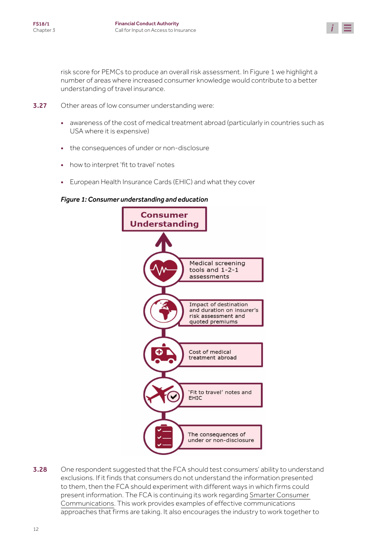

risk score for PEMCs to produce an overall risk assessment. In Figure 1 we highlight a number of areas where increased consumer knowledge would contribute to a better understanding of travel insurance.

- 3.27 Other areas of low consumer understanding were:
	- awareness of the cost of medical treatment abroad (particularly in countries such as USA where it is expensive)
	- the consequences of under or non-disclosure
	- how to interpret 'fit to travel' notes
	- European Health Insurance Cards (EHIC) and what they cover

#### *Figure 1: Consumer understanding and education*



**3.28** One respondent suggested that the FCA should test consumers' ability to understand exclusions. If it finds that consumers do not understand the information presented to them, then the FCA should experiment with different ways in which firms could present information. The FCA is continuing its work regarding [Smarter Consumer](https://www.fca.org.uk/publications/discussion-papers/smarter-consumer-communications-further-step-journey)  [Communications.](https://www.fca.org.uk/publications/discussion-papers/smarter-consumer-communications-further-step-journey) This work provides examples of effective communications approaches that firms are taking. It also encourages the industry to work together to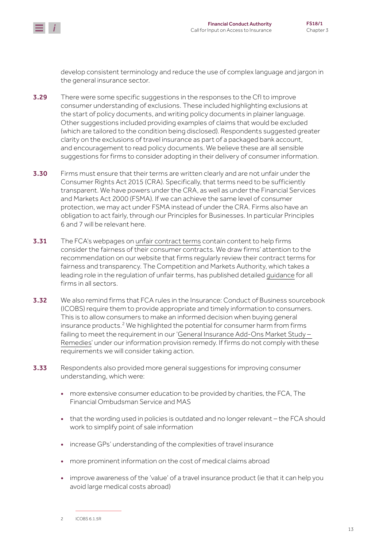

develop consistent terminology and reduce the use of complex language and jargon in the general insurance sector.

- 3.29 There were some specific suggestions in the responses to the CfI to improve consumer understanding of exclusions. These included highlighting exclusions at the start of policy documents, and writing policy documents in plainer language. Other suggestions included providing examples of claims that would be excluded (which are tailored to the condition being disclosed). Respondents suggested greater clarity on the exclusions of travel insurance as part of a packaged bank account, and encouragement to read policy documents. We believe these are all sensible suggestions for firms to consider adopting in their delivery of consumer information.
- **3.30** Firms must ensure that their terms are written clearly and are not unfair under the Consumer Rights Act 2015 (CRA). Specifically, that terms need to be sufficiently transparent. We have powers under the CRA, as well as under the Financial Services and Markets Act 2000 (FSMA). If we can achieve the same level of consumer protection, we may act under FSMA instead of under the CRA. Firms also have an obligation to act fairly, through our Principles for Businesses. In particular Principles 6 and 7 will be relevant here.
- **3.31** The FCA's webpages on [unfair contract terms](https://www.fca.org.uk/firms/unfair-contract-terms) contain content to help firms consider the fairness of their consumer contracts. We draw firms' attention to the recommendation on our website that firms regularly review their contract terms for fairness and transparency. The Competition and Markets Authority, which takes a leading role in the regulation of unfair terms, has published detailed [guidance](https://www.gov.uk/government/uploads/system/uploads/attachment_data/file/450440/Unfair_Terms_Main_Guidance.pdf) for all firms in all sectors.
- 3.32 We also remind firms that FCA rules in the Insurance: Conduct of Business sourcebook (ICOBS) require them to provide appropriate and timely information to consumers. This is to allow consumers to make an informed decision when buying general insurance products. $^2$  We highlighted the potential for consumer harm from firms failing to meet the requirement in our '[General Insurance Add-Ons Market Study –](https://www.fca.org.uk/publication/policy/policy-statement-15-22-general-insurance-add-ons.pdf#page=49)  [Remedies'](https://www.fca.org.uk/publication/policy/policy-statement-15-22-general-insurance-add-ons.pdf#page=49) under our information provision remedy. If firms do not comply with these requirements we will consider taking action.
- 3.33 Respondents also provided more general suggestions for improving consumer understanding, which were:
	- more extensive consumer education to be provided by charities, the FCA, The Financial Ombudsman Service and MAS
	- that the wording used in policies is outdated and no longer relevant the FCA should work to simplify point of sale information
	- increase GPs' understanding of the complexities of travel insurance
	- more prominent information on the cost of medical claims abroad
	- improve awareness of the 'value' of a travel insurance product (ie that it can help you avoid large medical costs abroad)

<sup>2</sup> ICOBS 6.1.5R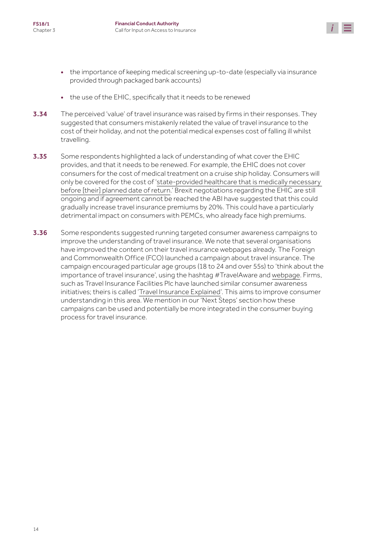

- the importance of keeping medical screening up-to-date (especially via insurance provided through packaged bank accounts)
- the use of the EHIC, specifically that it needs to be renewed
- **3.34** The perceived 'value' of travel insurance was raised by firms in their responses. They suggested that consumers mistakenly related the value of travel insurance to the cost of their holiday, and not the potential medical expenses cost of falling ill whilst travelling.
- 3.35 Some respondents highlighted a lack of understanding of what cover the EHIC provides, and that it needs to be renewed. For example, the EHIC does not cover consumers for the cost of medical treatment on a cruise ship holiday. Consumers will only be covered for the cost of ['state-provided healthcare that is medically necessary](https://www.gov.uk/government/uploads/system/uploads/attachment_data/file/519532/EHIC-Leaflet-Final-artwork6_11.01.2016.pdf)  [before \[their\] planned date of return](https://www.gov.uk/government/uploads/system/uploads/attachment_data/file/519532/EHIC-Leaflet-Final-artwork6_11.01.2016.pdf).' Brexit negotiations regarding the EHIC are still ongoing and if agreement cannot be reached the ABI have suggested that this could gradually increase travel insurance premiums by 20%. This could have a particularly detrimental impact on consumers with PEMCs, who already face high premiums.
- 3.36 Some respondents suggested running targeted consumer awareness campaigns to improve the understanding of travel insurance. We note that several organisations have improved the content on their travel insurance webpages already. The Foreign and Commonwealth Office (FCO) launched a campaign about travel insurance. The campaign encouraged particular age groups (18 to 24 and over 55s) to 'think about the importance of travel insurance', using the hashtag #TravelAware and [webpage.](http://www.gov.uk/guidance/foreign-travel-insurance) Firms, such as Travel Insurance Facilities Plc have launched similar consumer awareness initiatives; theirs is called '[Travel Insurance Explained](https://www.travelinsuranceexplained.co.uk/)'. This aims to improve consumer understanding in this area. We mention in our 'Next Steps' section how these campaigns can be used and potentially be more integrated in the consumer buying process for travel insurance.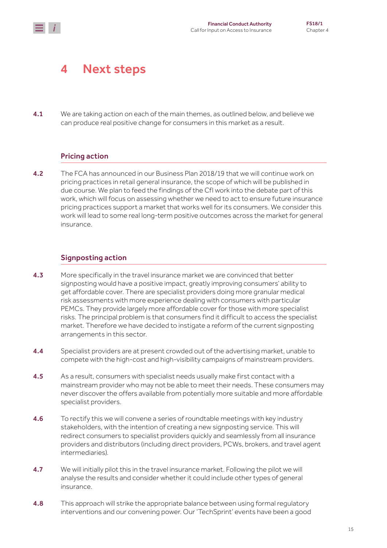## <span id="page-14-0"></span>4 Next steps

4.1 We are taking action on each of the main themes, as outlined below, and believe we can produce real positive change for consumers in this market as a result.

### Pricing action

4.2 The FCA has announced in our Business Plan 2018/19 that we will continue work on pricing practices in retail general insurance, the scope of which will be published in due course. We plan to feed the findings of the CfI work into the debate part of this work, which will focus on assessing whether we need to act to ensure future insurance pricing practices support a market that works well for its consumers. We consider this work will lead to some real long-term positive outcomes across the market for general insurance.

### Signposting action

- 4.3 More specifically in the travel insurance market we are convinced that better signposting would have a positive impact, greatly improving consumers' ability to get affordable cover. There are specialist providers doing more granular medical risk assessments with more experience dealing with consumers with particular PEMCs. They provide largely more affordable cover for those with more specialist risks. The principal problem is that consumers find it difficult to access the specialist market. Therefore we have decided to instigate a reform of the current signposting arrangements in this sector.
- 4.4 Specialist providers are at present crowded out of the advertising market, unable to compete with the high-cost and high-visibility campaigns of mainstream providers.
- **4.5** As a result, consumers with specialist needs usually make first contact with a mainstream provider who may not be able to meet their needs. These consumers may never discover the offers available from potentially more suitable and more affordable specialist providers.
- **4.6** To rectify this we will convene a series of roundtable meetings with key industry stakeholders, with the intention of creating a new signposting service. This will redirect consumers to specialist providers quickly and seamlessly from all insurance providers and distributors (including direct providers, PCWs, brokers, and travel agent intermediaries).
- 4.7 We will initially pilot this in the travel insurance market. Following the pilot we will analyse the results and consider whether it could include other types of general insurance.
- 4.8 This approach will strike the appropriate balance between using formal regulatory interventions and our convening power. Our 'TechSprint' events have been a good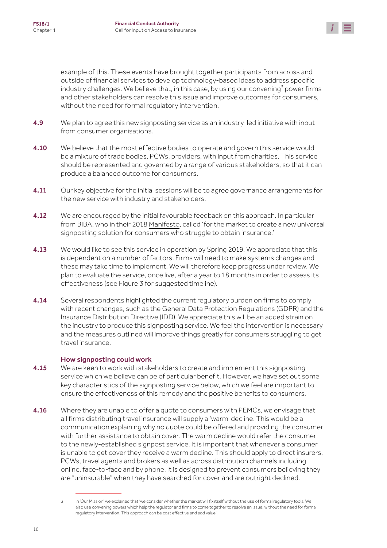

example of this. These events have brought together participants from across and outside of financial services to develop technology-based ideas to address specific industry challenges. We believe that, in this case, by using our convening $^3$  power firms and other stakeholders can resolve this issue and improve outcomes for consumers, without the need for formal regulatory intervention.

- **4.9** We plan to agree this new signposting service as an industry-led initiative with input from consumer organisations.
- **4.10** We believe that the most effective bodies to operate and govern this service would be a mixture of trade bodies, PCWs, providers, with input from charities. This service should be represented and governed by a range of various stakeholders, so that it can produce a balanced outcome for consumers.
- 4.11 Our key objective for the initial sessions will be to agree governance arrangements for the new service with industry and stakeholders.
- **4.12** We are encouraged by the initial favourable feedback on this approach. In particular from BIBA, who in their 2018 [Manifesto](https://www.biba.org.uk/press-releases/biba-puts-productivity-challenge-government/), called 'for the market to create a new universal signposting solution for consumers who struggle to obtain insurance.'
- 4.13 We would like to see this service in operation by Spring 2019. We appreciate that this is dependent on a number of factors. Firms will need to make systems changes and these may take time to implement. We will therefore keep progress under review. We plan to evaluate the service, once live, after a year to 18 months in order to assess its effectiveness (see Figure 3 for suggested timeline).
- 4.14 Several respondents highlighted the current regulatory burden on firms to comply with recent changes, such as the General Data Protection Regulations (GDPR) and the Insurance Distribution Directive (IDD). We appreciate this will be an added strain on the industry to produce this signposting service. We feel the intervention is necessary and the measures outlined will improve things greatly for consumers struggling to get travel insurance.

#### How signposting could work

- 4.15 We are keen to work with stakeholders to create and implement this signposting service which we believe can be of particular benefit. However, we have set out some key characteristics of the signposting service below, which we feel are important to ensure the effectiveness of this remedy and the positive benefits to consumers.
- **4.16** Where they are unable to offer a quote to consumers with PEMCs, we envisage that all firms distributing travel insurance will supply a 'warm' decline. This would be a communication explaining why no quote could be offered and providing the consumer with further assistance to obtain cover. The warm decline would refer the consumer to the newly-established signpost service. It is important that whenever a consumer is unable to get cover they receive a warm decline. This should apply to direct insurers, PCWs, travel agents and brokers as well as across distribution channels including online, face-to-face and by phone. It is designed to prevent consumers believing they are "uninsurable" when they have searched for cover and are outright declined.

<sup>3</sup> In 'Our Mission' we explained that 'we consider whether the market will fix itself without the use of formal regulatory tools. We also use convening powers which help the regulator and firms to come together to resolve an issue, without the need for formal regulatory intervention. This approach can be cost effective and add value.'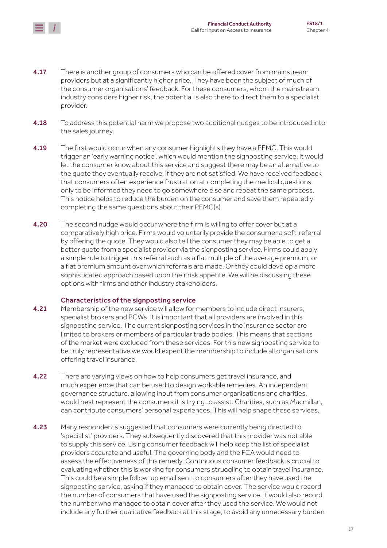

- **4.17** There is another group of consumers who can be offered cover from mainstream providers but at a significantly higher price. They have been the subject of much of the consumer organisations' feedback. For these consumers, whom the mainstream industry considers higher risk, the potential is also there to direct them to a specialist provider.
- **4.18** To address this potential harm we propose two additional nudges to be introduced into the sales journey.
- 4.19 The first would occur when any consumer highlights they have a PEMC. This would trigger an 'early warning notice', which would mention the signposting service. It would let the consumer know about this service and suggest there may be an alternative to the quote they eventually receive, if they are not satisfied. We have received feedback that consumers often experience frustration at completing the medical questions, only to be informed they need to go somewhere else and repeat the same process. This notice helps to reduce the burden on the consumer and save them repeatedly completing the same questions about their PEMC(s).
- 4.20 The second nudge would occur where the firm is willing to offer cover but at a comparatively high price. Firms would voluntarily provide the consumer a soft-referral by offering the quote. They would also tell the consumer they may be able to get a better quote from a specialist provider via the signposting service. Firms could apply a simple rule to trigger this referral such as a flat multiple of the average premium, or a flat premium amount over which referrals are made. Or they could develop a more sophisticated approach based upon their risk appetite. We will be discussing these options with firms and other industry stakeholders.

#### Characteristics of the signposting service

- **4.21** Membership of the new service will allow for members to include direct insurers, specialist brokers and PCWs. It is important that all providers are involved in this signposting service. The current signposting services in the insurance sector are limited to brokers or members of particular trade bodies. This means that sections of the market were excluded from these services. For this new signposting service to be truly representative we would expect the membership to include all organisations offering travel insurance.
- 4.22 There are varying views on how to help consumers get travel insurance, and much experience that can be used to design workable remedies. An independent governance structure, allowing input from consumer organisations and charities, would best represent the consumers it is trying to assist. Charities, such as Macmillan, can contribute consumers' personal experiences. This will help shape these services.
- 4.23 Many respondents suggested that consumers were currently being directed to 'specialist' providers. They subsequently discovered that this provider was not able to supply this service. Using consumer feedback will help keep the list of specialist providers accurate and useful. The governing body and the FCA would need to assess the effectiveness of this remedy. Continuous consumer feedback is crucial to evaluating whether this is working for consumers struggling to obtain travel insurance. This could be a simple follow-up email sent to consumers after they have used the signposting service, asking if they managed to obtain cover. The service would record the number of consumers that have used the signposting service. It would also record the number who managed to obtain cover after they used the service. We would not include any further qualitative feedback at this stage, to avoid any unnecessary burden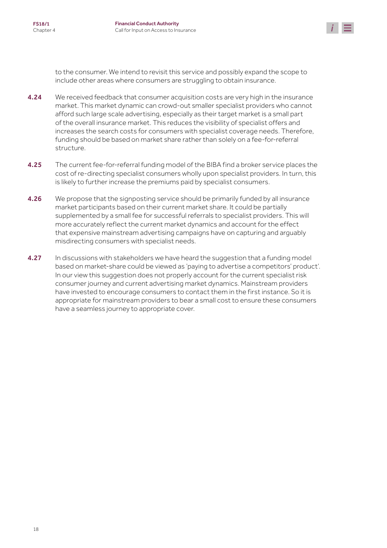

to the consumer. We intend to revisit this service and possibly expand the scope to include other areas where consumers are struggling to obtain insurance.

- 4.24 We received feedback that consumer acquisition costs are very high in the insurance market. This market dynamic can crowd-out smaller specialist providers who cannot afford such large scale advertising, especially as their target market is a small part of the overall insurance market. This reduces the visibility of specialist offers and increases the search costs for consumers with specialist coverage needs. Therefore, funding should be based on market share rather than solely on a fee-for-referral structure.
- 4.25 The current fee-for-referral funding model of the BIBA find a broker service places the cost of re-directing specialist consumers wholly upon specialist providers. In turn, this is likely to further increase the premiums paid by specialist consumers.
- **4.26** We propose that the signposting service should be primarily funded by all insurance market participants based on their current market share. It could be partially supplemented by a small fee for successful referrals to specialist providers. This will more accurately reflect the current market dynamics and account for the effect that expensive mainstream advertising campaigns have on capturing and arguably misdirecting consumers with specialist needs.
- **4.27** In discussions with stakeholders we have heard the suggestion that a funding model based on market-share could be viewed as 'paying to advertise a competitors' product'. In our view this suggestion does not properly account for the current specialist risk consumer journey and current advertising market dynamics. Mainstream providers have invested to encourage consumers to contact them in the first instance. So it is appropriate for mainstream providers to bear a small cost to ensure these consumers have a seamless journey to appropriate cover.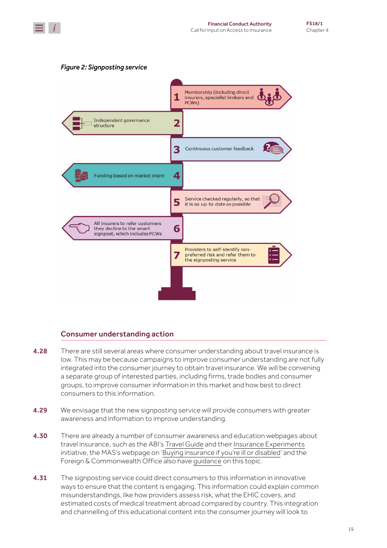





#### Consumer understanding action

- 4.28 There are still several areas where consumer understanding about travel insurance is low. This may be because campaigns to improve consumer understanding are not fully integrated into the consumer journey to obtain travel insurance. We will be convening a separate group of interested parties, including firms, trade bodies and consumer groups, to improve consumer information in this market and how best to direct consumers to this information.
- **4.29** We envisage that the new signposting service will provide consumers with greater awareness and information to improve understanding.
- **4.30** There are already a number of consumer awareness and education webpages about travel insurance, such as the ABI's [Travel Guide](https://www.abi.org.uk/products-and-issues/choosing-the-right-insurance/travel-guide/) and their [Insurance Experiments](http://insuranceexperiments.org.uk/) initiative, the MAS's webpage on '[Buying insurance if you're ill or disabled'](https://www.moneyadviceservice.org.uk/en/articles/buying-insurance-if-youre-ill-or-disabled) and the Foreign & Commonwealth Office also have [guidance](https://www.gov.uk/guidance/foreign-travel-insurance) on this topic.
- **4.31** The signposting service could direct consumers to this information in innovative ways to ensure that the content is engaging. This information could explain common misunderstandings, like how providers assess risk, what the EHIC covers, and estimated costs of medical treatment abroad compared by country. This integration and channelling of this educational content into the consumer journey will look to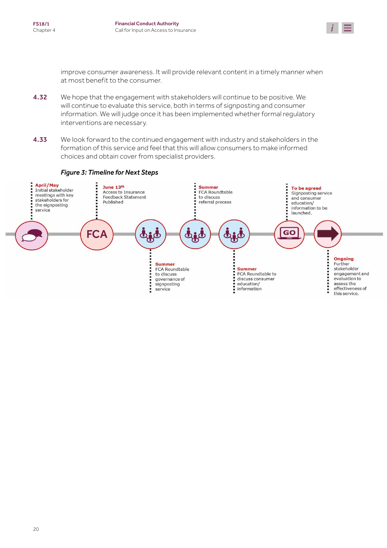

improve consumer awareness. It will provide relevant content in a timely manner when at most benefit to the consumer.

- 4.32 We hope that the engagement with stakeholders will continue to be positive. We will continue to evaluate this service, both in terms of signposting and consumer information. We will judge once it has been implemented whether formal regulatory interventions are necessary.
- 4.33 We look forward to the continued engagement with industry and stakeholders in the formation of this service and feel that this will allow consumers to make informed choices and obtain cover from specialist providers.

#### *Figure 3: Timeline for Next Steps*

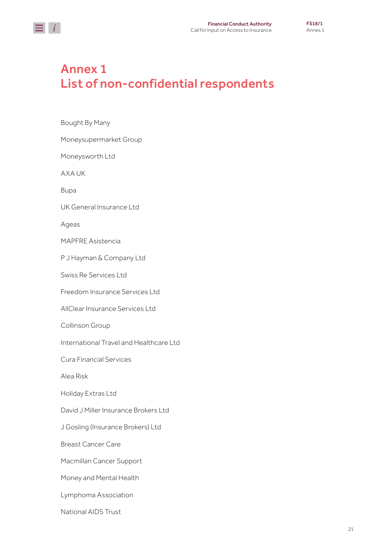<span id="page-20-0"></span>

## Annex 1 List of non-confidential respondents

Bought By Many Moneysupermarket Group Moneysworth Ltd AXA UK Bupa UK General Insurance Ltd Ageas MAPFRE Asistencia P J Hayman & Company Ltd Swiss Re Services Ltd Freedom Insurance Services Ltd AllClear Insurance Services Ltd Collinson Group International Travel and Healthcare Ltd Cura Financial Services Alea Risk Holiday Extras Ltd David J Miller Insurance Brokers Ltd J Gosling (Insurance Brokers) Ltd Breast Cancer Care Macmillan Cancer Support Money and Mental Health Lymphoma Association National AIDS Trust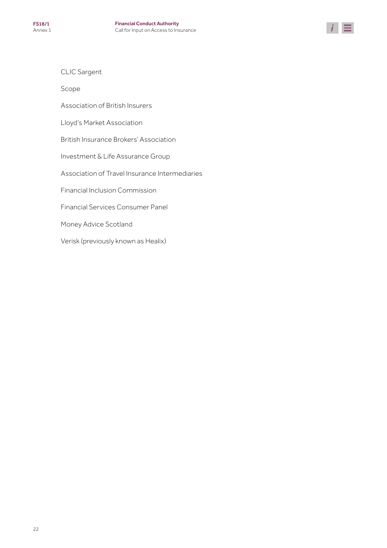

CLIC Sargent

Scope

Association of British Insurers

Lloyd's Market Association

British Insurance Brokers' Association

Investment & Life Assurance Group

Association of Travel Insurance Intermediaries

Financial Inclusion Commission

Financial Services Consumer Panel

Money Advice Scotland

Verisk (previously known as Healix)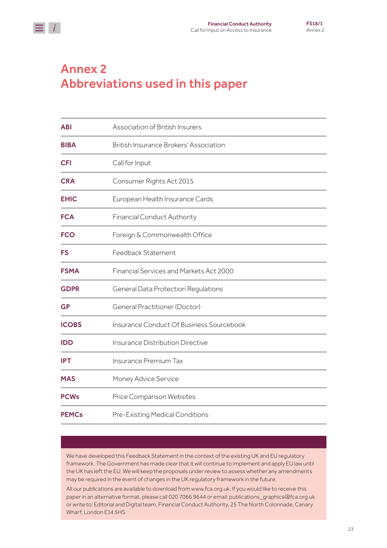<span id="page-22-0"></span>

## Annex 2 Abbreviations used in this paper

| <b>ABI</b>   | Association of British Insurers            |
|--------------|--------------------------------------------|
| <b>BIBA</b>  | British Insurance Brokers' Association     |
| <b>CFI</b>   | Call for Input                             |
| <b>CRA</b>   | Consumer Rights Act 2015                   |
| <b>EHIC</b>  | European Health Insurance Cards            |
| <b>FCA</b>   | <b>Financial Conduct Authority</b>         |
| <b>FCO</b>   | Foreign & Commonwealth Office              |
| <b>FS</b>    | Feedback Statement                         |
| <b>FSMA</b>  | Financial Services and Markets Act 2000    |
| <b>GDPR</b>  | <b>General Data Protection Regulations</b> |
| <b>GP</b>    | <b>General Practitioner (Doctor)</b>       |
| <b>ICOBS</b> | Insurance Conduct Of Business Sourcebook   |
| <b>IDD</b>   | Insurance Distribution Directive           |
| <b>IPT</b>   | Insurance Premium Tax                      |
| <b>MAS</b>   | Money Advice Service                       |
| <b>PCWs</b>  | Price Comparison Websites                  |
| <b>PEMCs</b> | Pre-Existing Medical Conditions            |

We have developed this Feedback Statement in the context of the existing UK and EU regulatory framework. The Government has made clear that it will continue to implement and apply EU law until the UK has left the EU. We will keep the proposals under review to assess whether any amendments may be required in the event of changes in the UK regulatory framework in the future.

All our publications are available to download from www.fca.org.uk. If you would like to receive this paper in an alternative format, please call 020 7066 9644 or email: publications\_graphics@fca.org.uk or write to: Editorial and Digital team, Financial Conduct Authority, 25 The North Colonnade, Canary Wharf, London E14 5HS